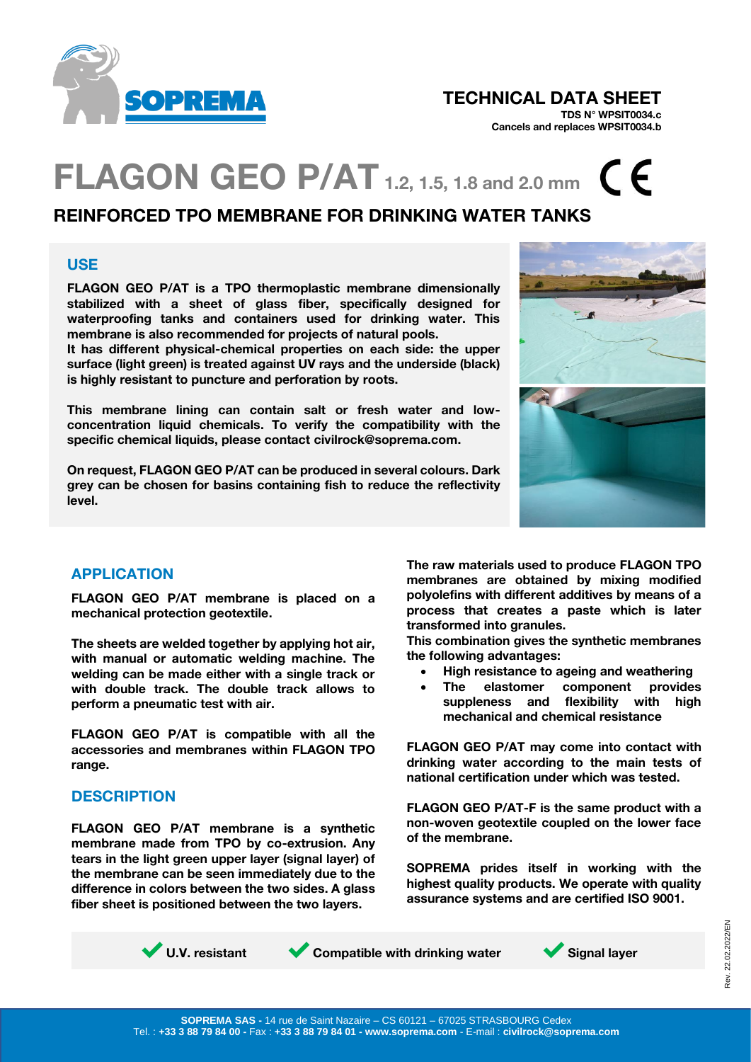

## TECHNICAL DATA SHEET

TDS N° WPSIT0034.c Cancels and replaces WPSIT0034.b

## **FLAGON GEO P/AT** 1.2, 1.5, 1.8 and 2.0 mm  $C$   $C$

## REINFORCED TPO MEMBRANE FOR DRINKING WATER TANKS

#### USE

FLAGON GEO P/AT is a TPO thermoplastic membrane dimensionally stabilized with a sheet of glass fiber, specifically designed for waterproofing tanks and containers used for drinking water. This membrane is also recommended for projects of natural pools.

It has different physical-chemical properties on each side: the upper surface (light green) is treated against UV rays and the underside (black) is highly resistant to puncture and perforation by roots.

This membrane lining can contain salt or fresh water and lowconcentration liquid chemicals. To verify the compatibility with the specific chemical liquids, please contact civilrock@soprema.com.

On request, FLAGON GEO P/AT can be produced in several colours. Dark grey can be chosen for basins containing fish to reduce the reflectivity level.



## APPLICATION

FLAGON GEO P/AT membrane is placed on a mechanical protection geotextile.

The sheets are welded together by applying hot air, with manual or automatic welding machine. The welding can be made either with a single track or with double track. The double track allows to perform a pneumatic test with air.

FLAGON GEO P/AT is compatible with all the accessories and membranes within FLAGON TPO range.

## **DESCRIPTION**

FLAGON GEO P/AT membrane is a synthetic membrane made from TPO by co-extrusion. Any tears in the light green upper layer (signal layer) of the membrane can be seen immediately due to the difference in colors between the two sides. A glass fiber sheet is positioned between the two layers.

The raw materials used to produce FLAGON TPO membranes are obtained by mixing modified polyolefins with different additives by means of a process that creates a paste which is later transformed into granules.

This combination gives the synthetic membranes the following advantages:

- High resistance to ageing and weathering
- The elastomer component provides suppleness and flexibility with high mechanical and chemical resistance

FLAGON GEO P/AT may come into contact with drinking water according to the main tests of national certification under which was tested.

FLAGON GEO P/AT-F is the same product with a non-woven geotextile coupled on the lower face of the membrane.

SOPREMA prides itself in working with the highest quality products. We operate with quality assurance systems and are certified ISO 9001.